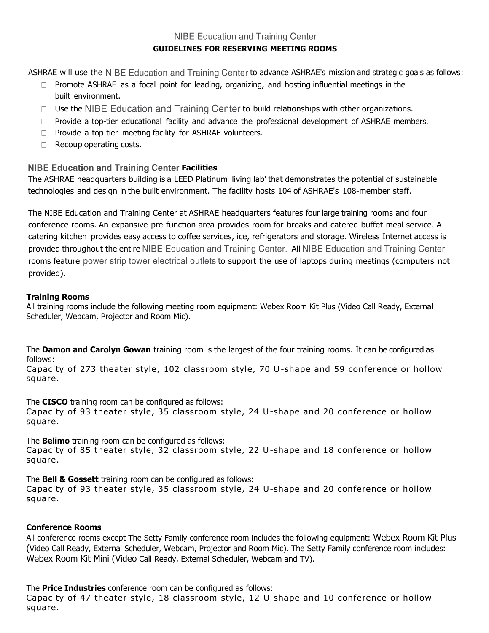# **NIBE Education and Training Center GUIDELINES FOR RESERVING MEETING ROOMS**

ASHRAE will use the NIBE Education and Training Center to advance ASHRAE's mission and strategic goals as follows:

- $\Box$  Promote ASHRAE as a focal point for leading, organizing, and hosting influential meetings in the built environment.
- $\Box$  Use the NIBE Education and Training Center to build relationships with other organizations.
- $\Box$  Provide a top-tier educational facility and advance the professional development of ASHRAE members.
- □ Provide a top-tier meeting facility for ASHRAE volunteers.
- $\Box$  Recoup operating costs.

## **NIBE Education and Training Center Facilities**

The ASHRAE headquarters building is a LEED Platinum 'living lab' that demonstrates the potential of sustainable technologies and design in the built environment. The facility hosts 104 of ASHRAE's 108-member staff.

The NIBE Education and Training Center at ASHRAE headquarters features four large training rooms and four conference rooms. An expansive pre-function area provides room for breaks and catered buffet meal service. A catering kitchen provides easy access to coffee services, ice, refrigerators and storage. Wireless Internet access is provided throughout the entire NIBE Education and Training Center. All NIBE Education and Training Center rooms feature power strip tower electrical outlets to support the use of laptops during meetings (computers not provided).

## **Training Rooms**

All training rooms include the following meeting room equipment: Webex Room Kit Plus (Video Call Ready, External Scheduler, Webcam, Projector and Room Mic).

The **Damon and Carolyn Gowan** training room is the largest of the four training rooms. It can be configured as follows:

Capacity of 273 theater style, 102 classroom style, 70 U-shape and 59 conference or hollow square.

The **CISCO** training room can be configured as follows:

Capacity of 93 theater style, 35 classroom style, 24 U-shape and 20 conference or hollow square.

The **Belimo** training room can be configured as follows: Capacity of 85 theater style, 32 classroom style, 22 U-shape and 18 conference or hollow square.

The **Bell & Gossett** training room can be configured as follows:

Capacity of 93 theater style, 35 classroom style, 24 U-shape and 20 conference or hollow square.

## **Conference Rooms**

All conference rooms except The Setty Family conference room includes the following equipment: Webex Room Kit Plus (Video Call Ready, External Scheduler, Webcam, Projector and Room Mic). The Setty Family conference room includes: Webex Room Kit Mini (Video Call Ready, External Scheduler, Webcam and TV).

The **Price Industries** conference room can be configured as follows:

Capacity of 47 theater style, 18 classroom style, 12 U-shape and 10 conference or hollow square.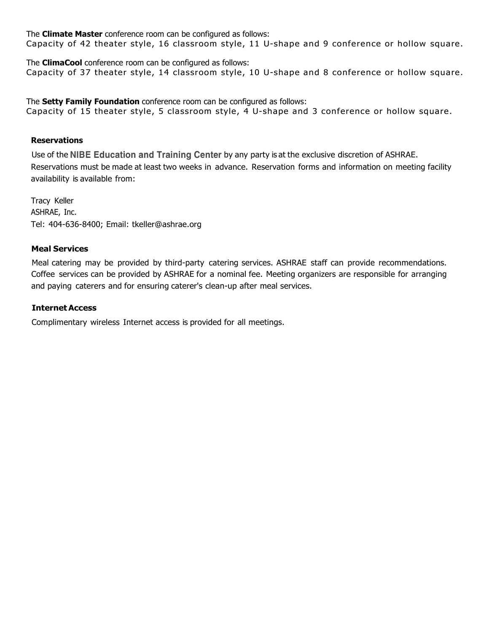The **Climate Master** conference room can be configured as follows: Capacity of 42 theater style, 16 classroom style, 11 U-shape and 9 conference or hollow square.

The **ClimaCool** conference room can be configured as follows: Capacity of 37 theater style, 14 classroom style, 10 U-shape and 8 conference or hollow square.

The **Setty Family Foundation** conference room can be configured as follows: Capacity of 15 theater style, 5 classroom style, 4 U-shape and 3 conference or hollow square.

### **Reservations**

Use of the NIBE Education and Training Center by any party is at the exclusive discretion of ASHRAE. Reservations must be made at least two weeks in advance. Reservation forms and information on meeting facility availability is available from:

Tracy Keller ASHRAE, Inc. Tel: 404-636-8400; Email: [tkeller@ashrae.org](mailto:tkeller@ashrae.org)

## **Meal Services**

Meal catering may be provided by third-party catering services. ASHRAE staff can provide recommendations. Coffee services can be provided by ASHRAE for a nominal fee. Meeting organizers are responsible for arranging and paying caterers and for ensuring caterer's clean-up after meal services.

## **InternetAccess**

Complimentary wireless Internet access is provided for all meetings.